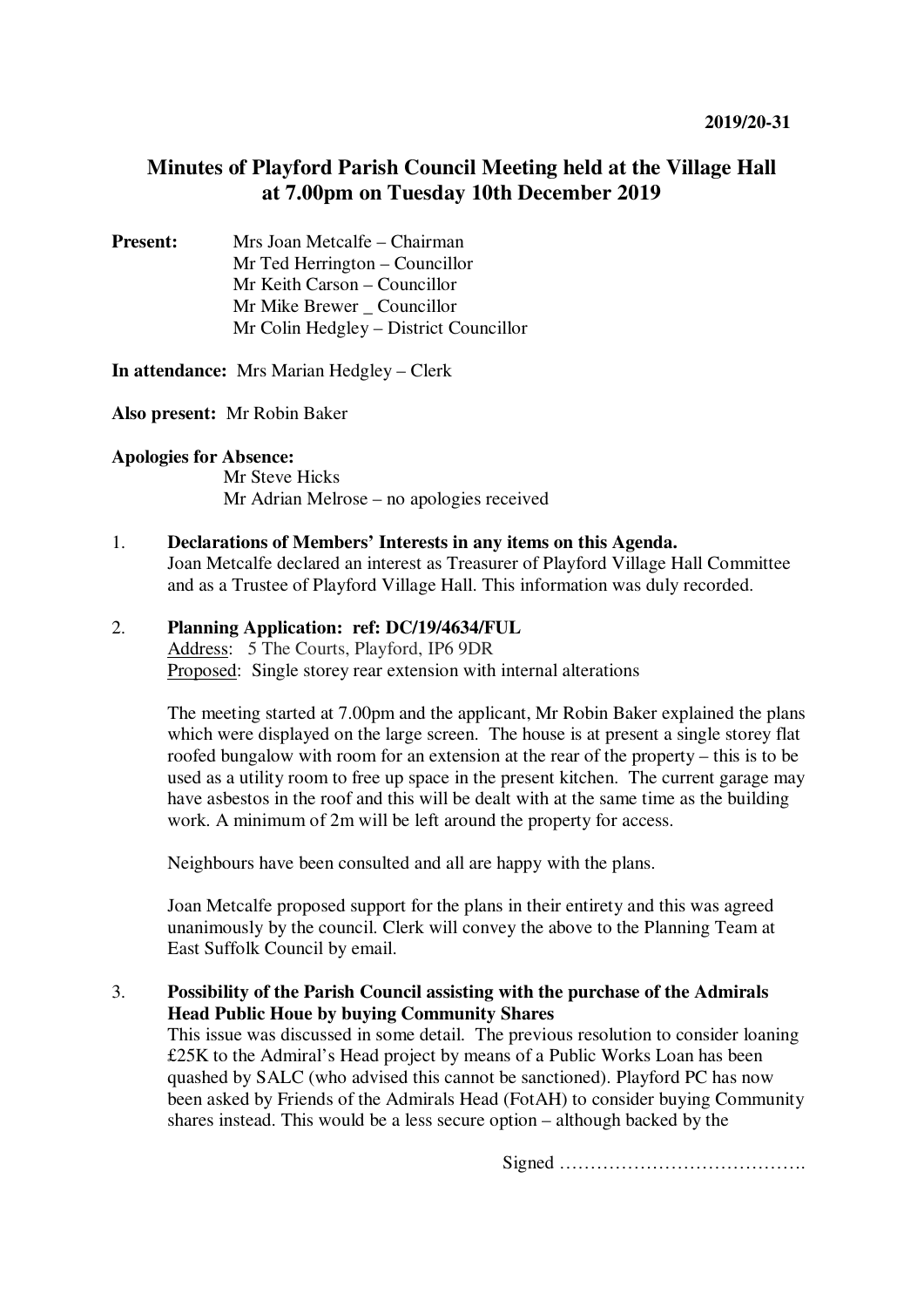# **Minutes of Playford Parish Council Meeting held at the Village Hall at 7.00pm on Tuesday 10th December 2019**

**Present:** Mrs Joan Metcalfe – Chairman Mr Ted Herrington – Councillor Mr Keith Carson – Councillor Mr Mike Brewer Councillor Mr Colin Hedgley – District Councillor

**In attendance:** Mrs Marian Hedgley – Clerk

**Also present:** Mr Robin Baker

#### **Apologies for Absence:**

Mr Steve Hicks Mr Adrian Melrose – no apologies received

## 1. **Declarations of Members' Interests in any items on this Agenda.**

Joan Metcalfe declared an interest as Treasurer of Playford Village Hall Committee and as a Trustee of Playford Village Hall. This information was duly recorded.

# 2. **Planning Application: ref: DC/19/4634/FUL**

Address: 5 The Courts, Playford, IP6 9DR Proposed: Single storey rear extension with internal alterations

The meeting started at 7.00pm and the applicant, Mr Robin Baker explained the plans which were displayed on the large screen. The house is at present a single storey flat roofed bungalow with room for an extension at the rear of the property – this is to be used as a utility room to free up space in the present kitchen. The current garage may have asbestos in the roof and this will be dealt with at the same time as the building work. A minimum of 2m will be left around the property for access.

Neighbours have been consulted and all are happy with the plans.

Joan Metcalfe proposed support for the plans in their entirety and this was agreed unanimously by the council. Clerk will convey the above to the Planning Team at East Suffolk Council by email.

# 3. **Possibility of the Parish Council assisting with the purchase of the Admirals Head Public Houe by buying Community Shares**

This issue was discussed in some detail. The previous resolution to consider loaning £25K to the Admiral's Head project by means of a Public Works Loan has been quashed by SALC (who advised this cannot be sanctioned). Playford PC has now been asked by Friends of the Admirals Head (FotAH) to consider buying Community shares instead. This would be a less secure option – although backed by the

Signed ………………………………….